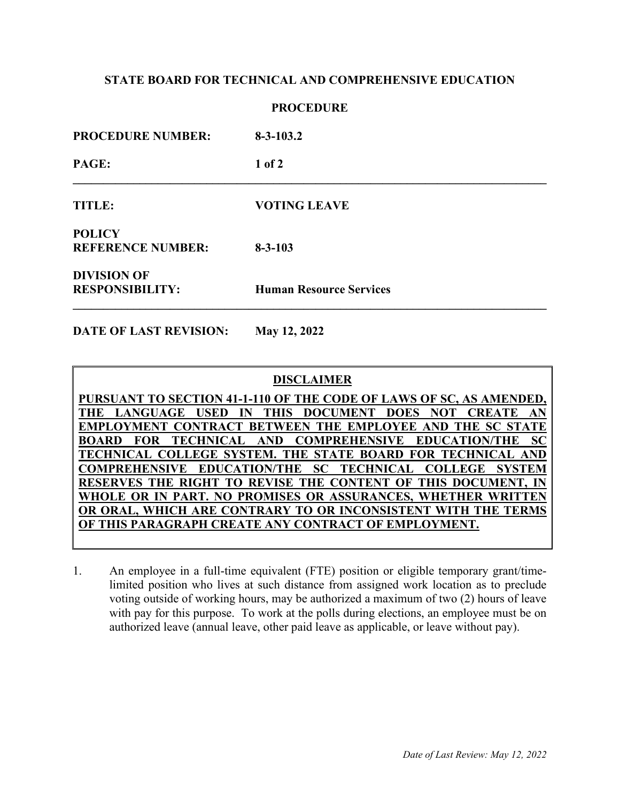# **STATE BOARD FOR TECHNICAL AND COMPREHENSIVE EDUCATION**

### **PROCEDURE**

| <b>PROCEDURE NUMBER:</b>                     | $8 - 3 - 103.2$                |
|----------------------------------------------|--------------------------------|
| PAGE:                                        | $1$ of $2$                     |
| TITLE:                                       | <b>VOTING LEAVE</b>            |
| <b>POLICY</b><br><b>REFERENCE NUMBER:</b>    | $8 - 3 - 103$                  |
| <b>DIVISION OF</b><br><b>RESPONSIBILITY:</b> | <b>Human Resource Services</b> |

**DATE OF LAST REVISION: May 12, 2022**

## **DISCLAIMER**

**PURSUANT TO SECTION 41-1-110 OF THE CODE OF LAWS OF SC, AS AMENDED, THE LANGUAGE USED IN THIS DOCUMENT DOES NOT CREATE AN EMPLOYMENT CONTRACT BETWEEN THE EMPLOYEE AND THE SC STATE BOARD FOR TECHNICAL AND COMPREHENSIVE EDUCATION/THE SC TECHNICAL COLLEGE SYSTEM. THE STATE BOARD FOR TECHNICAL AND COMPREHENSIVE EDUCATION/THE SC TECHNICAL COLLEGE SYSTEM RESERVES THE RIGHT TO REVISE THE CONTENT OF THIS DOCUMENT WHOLE OR IN PART. NO PROMISES OR ASSURANCES, WHETHER WRITTEN OR ORAL, WHICH ARE CONTRARY TO OR INCONSISTENT WITH THE TERMS OF THIS PARAGRAPH CREATE ANY CONTRACT OF EMPLOYMENT.**

1. An employee in a full-time equivalent (FTE) position or eligible temporary grant/timelimited position who lives at such distance from assigned work location as to preclude voting outside of working hours, may be authorized a maximum of two (2) hours of leave with pay for this purpose. To work at the polls during elections, an employee must be on authorized leave (annual leave, other paid leave as applicable, or leave without pay).